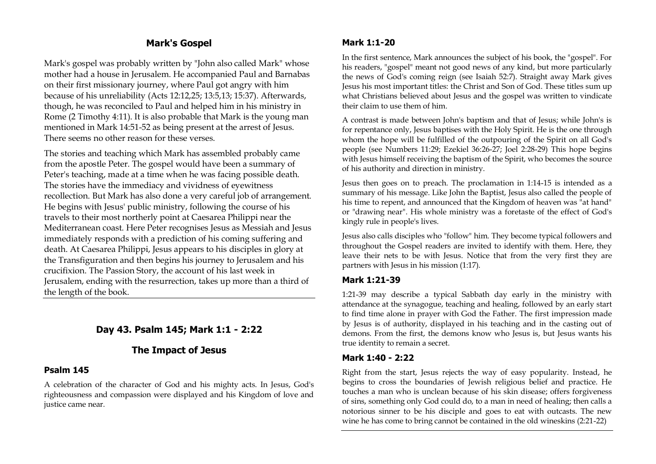# **Mark's Gospel**

Mark's gospel was probably written by "John also called Mark" whose mother had a house in Jerusalem. He accompanied Paul and Barnabas on their first missionary journey, where Paul got angry with him because of his unreliability (Acts 12:12,25; 13:5,13; 15:37). Afterwards, though, he was reconciled to Paul and helped him in his ministry in Rome (2 Timothy 4:11). It is also probable that Mark is the young man mentioned in Mark 14:51-52 as being present at the arrest of Jesus. There seems no other reason for these verses.

The stories and teaching which Mark has assembled probably came from the apostle Peter. The gospel would have been a summary of Peter's teaching, made at a time when he was facing possible death. The stories have the immediacy and vividness of eyewitness recollection. But Mark has also done a very careful job of arrangement. He begins with Jesus' public ministry, following the course of his travels to their most northerly point at Caesarea Philippi near the Mediterranean coast. Here Peter recognises Jesus as Messiah and Jesus immediately responds with a prediction of his coming suffering and death. At Caesarea Philippi, Jesus appears to his disciples in glory at the Transfiguration and then begins his journey to Jerusalem and his crucifixion. The Passion Story, the account of his last week in Jerusalem, ending with the resurrection, takes up more than a third of the length of the book.

# **Day 43. Psalm 145; Mark 1:1 - 2:22**

# **The Impact of Jesus**

# **Psalm 145**

A celebration of the character of God and his mighty acts. In Jesus, God's righteousness and compassion were displayed and his Kingdom of love and justice came near.

# **Mark 1:1-20**

In the first sentence, Mark announces the subject of his book, the "gospel". For his readers, "gospel" meant not good news of any kind, but more particularly the news of God's coming reign (see Isaiah 52:7). Straight away Mark gives Jesus his most important titles: the Christ and Son of God. These titles sum up what Christians believed about Jesus and the gospel was written to vindicate their claim to use them of him.

A contrast is made between John's baptism and that of Jesus; while John's is for repentance only, Jesus baptises with the Holy Spirit. He is the one through whom the hope will be fulfilled of the outpouring of the Spirit on all God's people (see Numbers 11:29; Ezekiel 36:26-27; Joel 2:28-29) This hope begins with Jesus himself receiving the baptism of the Spirit, who becomes the source of his authority and direction in ministry.

Jesus then goes on to preach. The proclamation in 1:14-15 is intended as a summary of his message. Like John the Baptist, Jesus also called the people of his time to repent, and announced that the Kingdom of heaven was "at hand" or "drawing near". His whole ministry was a foretaste of the effect of God's kingly rule in people's lives.

Jesus also calls disciples who "follow" him. They become typical followers and throughout the Gospel readers are invited to identify with them. Here, they leave their nets to be with Jesus. Notice that from the very first they are partners with Jesus in his mission (1:17).

## **Mark 1:21-39**

1:21-39 may describe a typical Sabbath day early in the ministry with attendance at the synagogue, teaching and healing, followed by an early start to find time alone in prayer with God the Father. The first impression made by Jesus is of authority, displayed in his teaching and in the casting out of demons. From the first, the demons know who Jesus is, but Jesus wants his true identity to remain a secret.

## **Mark 1:40 - 2:22**

Right from the start, Jesus rejects the way of easy popularity. Instead, he begins to cross the boundaries of Jewish religious belief and practice. He touches a man who is unclean because of his skin disease; offers forgiveness of sins, something only God could do, to a man in need of healing; then calls a notorious sinner to be his disciple and goes to eat with outcasts. The new wine he has come to bring cannot be contained in the old wineskins (2:21-22)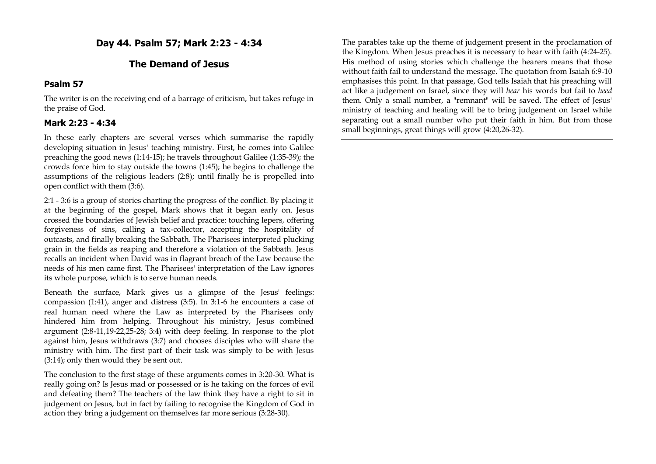**Day 44. Psalm 57; Mark 2:23 - 4:34**

#### **The Demand of Jesus**

#### **Psalm 57**

The writer is on the receiving end of a barrage of criticism, but takes refuge in the praise of God.

## **Mark 2:23 - 4:34**

In these early chapters are several verses which summarise the rapidly developing situation in Jesus' teaching ministry. First, he comes into Galilee preaching the good news (1:14-15); he travels throughout Galilee (1:35-39); the crowds force him to stay outside the towns (1:45); he begins to challenge the assumptions of the religious leaders (2:8); until finally he is propelled into open conflict with them (3:6).

2:1 - 3:6 is a group of stories charting the progress of the conflict. By placing it at the beginning of the gospel, Mark shows that it began early on. Jesus crossed the boundaries of Jewish belief and practice: touching lepers, offering forgiveness of sins, calling a tax-collector, accepting the hospitality of outcasts, and finally breaking the Sabbath. The Pharisees interpreted plucking grain in the fields as reaping and therefore a violation of the Sabbath. Jesus recalls an incident when David was in flagrant breach of the Law because the needs of his men came first. The Pharisees' interpretation of the Law ignores its whole purpose, which is to serve human needs.

Beneath the surface, Mark gives us a glimpse of the Jesus' feelings: compassion (1:41), anger and distress (3:5). In 3:1-6 he encounters a case of real human need where the Law as interpreted by the Pharisees only hindered him from helping. Throughout his ministry, Jesus combined argument (2:8-11,19-22,25-28; 3:4) with deep feeling. In response to the plot against him, Jesus withdraws (3:7) and chooses disciples who will share the ministry with him. The first part of their task was simply to be with Jesus (3:14); only then would they be sent out.

The conclusion to the first stage of these arguments comes in 3:20-30. What is really going on? Is Jesus mad or possessed or is he taking on the forces of evil and defeating them? The teachers of the law think they have a right to sit in judgement on Jesus, but in fact by failing to recognise the Kingdom of God in action they bring a judgement on themselves far more serious (3:28-30).

The parables take up the theme of judgement present in the proclamation of the Kingdom. When Jesus preaches it is necessary to hear with faith (4:24-25). His method of using stories which challenge the hearers means that those without faith fail to understand the message. The quotation from Isaiah 6:9-10 emphasises this point. In that passage, God tells Isaiah that his preaching will act like a judgement on Israel, since they will *hear* his words but fail to *heed* them. Only a small number, a "remnant" will be saved. The effect of Jesus' ministry of teaching and healing will be to bring judgement on Israel while separating out a small number who put their faith in him. But from those small beginnings, great things will grow (4:20,26-32).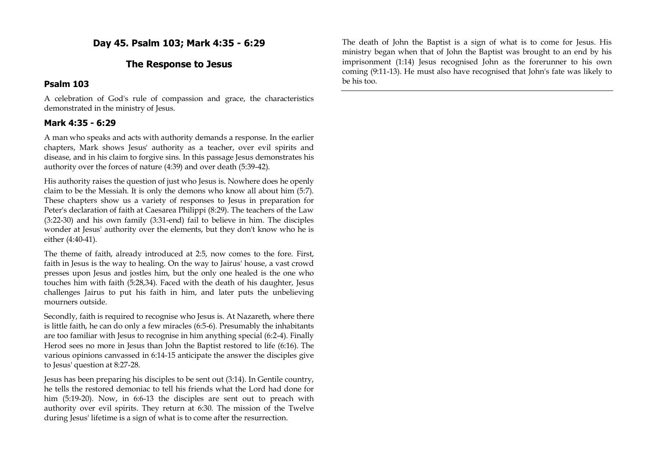**Day 45. Psalm 103; Mark 4:35 - 6:29**

#### **The Response to Jesus**

#### **Psalm 103**

A celebration of God's rule of compassion and grace, the characteristics demonstrated in the ministry of Jesus.

#### **Mark 4:35 - 6:29**

A man who speaks and acts with authority demands a response. In the earlier chapters, Mark shows Jesus' authority as a teacher, over evil spirits and disease, and in his claim to forgive sins. In this passage Jesus demonstrates his authority over the forces of nature (4:39) and over death (5:39-42).

His authority raises the question of just who Jesus is. Nowhere does he openly claim to be the Messiah. It is only the demons who know all about him (5:7). These chapters show us a variety of responses to Jesus in preparation for Peter's declaration of faith at Caesarea Philippi (8:29). The teachers of the Law (3:22-30) and his own family (3:31-end) fail to believe in him. The disciples wonder at Jesus' authority over the elements, but they don't know who he is either (4:40-41).

The theme of faith, already introduced at 2:5, now comes to the fore. First, faith in Jesus is the way to healing. On the way to Jairus' house, a vast crowd presses upon Jesus and jostles him, but the only one healed is the one who touches him with faith (5:28,34). Faced with the death of his daughter, Jesus challenges Jairus to put his faith in him, and later puts the unbelieving mourners outside.

Secondly, faith is required to recognise who Jesus is. At Nazareth, where there is little faith, he can do only a few miracles (6:5-6). Presumably the inhabitants are too familiar with Jesus to recognise in him anything special (6:2-4). Finally Herod sees no more in Jesus than John the Baptist restored to life (6:16). The various opinions canvassed in 6:14-15 anticipate the answer the disciples give to Jesus' question at 8:27-28.

Jesus has been preparing his disciples to be sent out (3:14). In Gentile country, he tells the restored demoniac to tell his friends what the Lord had done for him (5:19-20). Now, in 6:6-13 the disciples are sent out to preach with authority over evil spirits. They return at 6:30. The mission of the Twelve during Jesus' lifetime is a sign of what is to come after the resurrection.

The death of John the Baptist is a sign of what is to come for Jesus. His ministry began when that of John the Baptist was brought to an end by his imprisonment (1:14) Jesus recognised John as the forerunner to his own coming (9:11-13). He must also have recognised that John's fate was likely to be his too.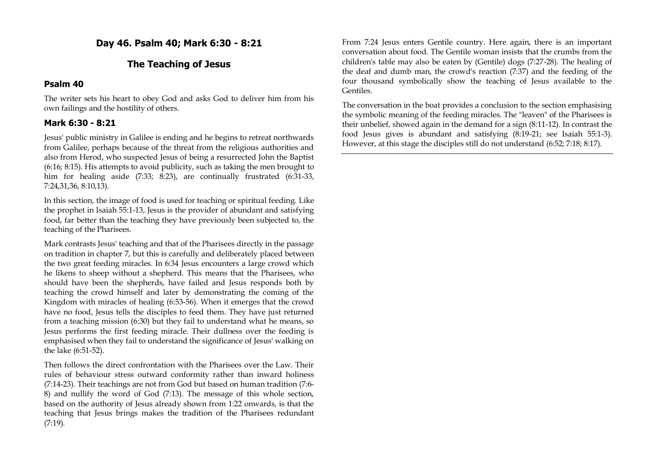**Day 46. Psalm 40; Mark 6:30 - 8:21**

# **The Teaching of Jesus**

#### **Psalm 40**

The writer sets his heart to obey God and asks God to deliver him from his own failings and the hostility of others.

## **Mark 6:30 - 8:21**

Jesus' public ministry in Galilee is ending and he begins to retreat northwards from Galilee, perhaps because of the threat from the religious authorities and also from Herod, who suspected Jesus of being a resurrected John the Baptist (6:16; 8:15). His attempts to avoid publicity, such as taking the men brought to him for healing aside (7:33; 8:23), are continually frustrated (6:31-33, 7:24,31,36, 8:10,13).

In this section, the image of food is used for teaching or spiritual feeding. Like the prophet in Isaiah 55:1-13, Jesus is the provider of abundant and satisfying food, far better than the teaching they have previously been subjected to, the teaching of the Pharisees.

Mark contrasts Jesus' teaching and that of the Pharisees directly in the passage on tradition in chapter 7, but this is carefully and deliberately placed between the two great feeding miracles. In 6:34 Jesus encounters a large crowd which he likens to sheep without a shepherd. This means that the Pharisees, who should have been the shepherds, have failed and Jesus responds both by teaching the crowd himself and later by demonstrating the coming of the Kingdom with miracles of healing (6:53-56). When it emerges that the crowd have no food, Jesus tells the disciples to feed them. They have just returned from a teaching mission (6:30) but they fail to understand what he means, so Jesus performs the first feeding miracle. Their dullness over the feeding is emphasised when they fail to understand the significance of Jesus' walking on the lake (6:51-52).

Then follows the direct confrontation with the Pharisees over the Law. Their rules of behaviour stress outward conformity rather than inward holiness (7:14-23). Their teachings are not from God but based on human tradition (7:6- 8) and nullify the word of God (7:13). The message of this whole section, based on the authority of Jesus already shown from 1:22 onwards, is that the teaching that Jesus brings makes the tradition of the Pharisees redundant (7:19).

From 7:24 Jesus enters Gentile country. Here again, there is an important conversation about food. The Gentile woman insists that the crumbs from the children's table may also be eaten by (Gentile) dogs (7:27-28). The healing of the deaf and dumb man, the crowd's reaction (7:37) and the feeding of the four thousand symbolically show the teaching of Jesus available to the Gentiles.

The conversation in the boat provides a conclusion to the section emphasising the symbolic meaning of the feeding miracles. The "leaven" of the Pharisees is their unbelief, showed again in the demand for a sign (8:11-12). In contrast the food Jesus gives is abundant and satisfying (8:19-21; see Isaiah 55:1-3). However, at this stage the disciples still do not understand (6:52; 7:18; 8:17).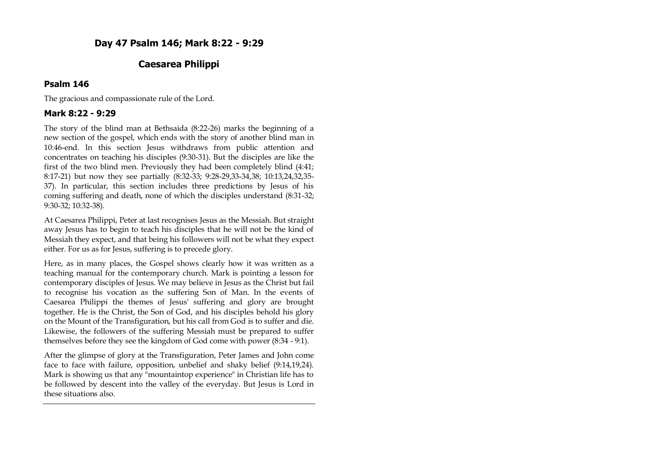# **Caesarea Philippi**

# **Psalm 146**

The gracious and compassionate rule of the Lord.

# **Mark 8:22 - 9:29**

The story of the blind man at Bethsaida (8:22-26) marks the beginning of a new section of the gospel, which ends with the story of another blind man in 10:46-end. In this section Jesus withdraws from public attention and concentrates on teaching his disciples (9:30-31). But the disciples are like the first of the two blind men. Previously they had been completely blind (4:41; 8:17-21) but now they see partially (8:32-33; 9:28-29,33-34,38; 10:13,24,32,35- 37). In particular, this section includes three predictions by Jesus of his coming suffering and death, none of which the disciples understand (8:31-32; 9:30-32; 10:32-38).

At Caesarea Philippi, Peter at last recognises Jesus as the Messiah. But straight away Jesus has to begin to teach his disciples that he will not be the kind of Messiah they expect, and that being his followers will not be what they expect either. For us as for Jesus, suffering is to precede glory.

Here, as in many places, the Gospel shows clearly how it was written as a teaching manual for the contemporary church. Mark is pointing a lesson for contemporary disciples of Jesus. We may believe in Jesus as the Christ but fail to recognise his vocation as the suffering Son of Man. In the events of Caesarea Philippi the themes of Jesus' suffering and glory are brought together. He is the Christ, the Son of God, and his disciples behold his glory on the Mount of the Transfiguration, but his call from God is to suffer and die. Likewise, the followers of the suffering Messiah must be prepared to suffer themselves before they see the kingdom of God come with power (8:34 - 9:1).

After the glimpse of glory at the Transfiguration, Peter James and John come face to face with failure, opposition, unbelief and shaky belief (9:14,19,24). Mark is showing us that any "mountaintop experience" in Christian life has to be followed by descent into the valley of the everyday. But Jesus is Lord in these situations also.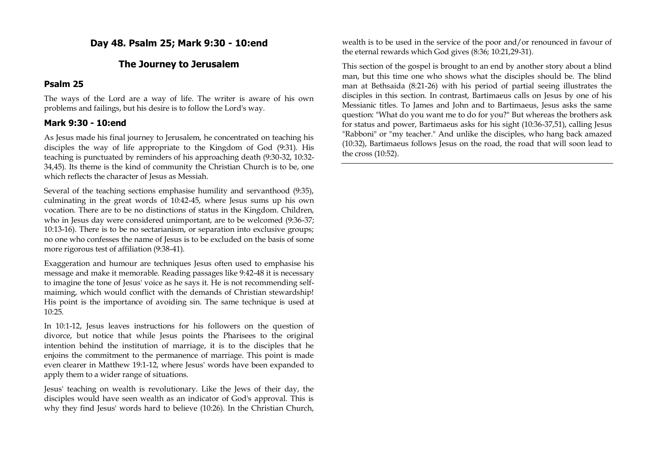**Day 48. Psalm 25; Mark 9:30 - 10:end**

## **The Journey to Jerusalem**

#### **Psalm 25**

The ways of the Lord are a way of life. The writer is aware of his own problems and failings, but his desire is to follow the Lord's way.

## **Mark 9:30 - 10:end**

As Jesus made his final journey to Jerusalem, he concentrated on teaching his disciples the way of life appropriate to the Kingdom of God (9:31). His teaching is punctuated by reminders of his approaching death (9:30-32, 10:32- 34,45). Its theme is the kind of community the Christian Church is to be, one which reflects the character of Jesus as Messiah.

Several of the teaching sections emphasise humility and servanthood (9:35), culminating in the great words of 10:42-45, where Jesus sums up his own vocation. There are to be no distinctions of status in the Kingdom. Children, who in Jesus day were considered unimportant, are to be welcomed (9:36-37; 10:13-16). There is to be no sectarianism, or separation into exclusive groups; no one who confesses the name of Jesus is to be excluded on the basis of some more rigorous test of affiliation (9:38-41).

Exaggeration and humour are techniques Jesus often used to emphasise his message and make it memorable. Reading passages like 9:42-48 it is necessary to imagine the tone of Jesus' voice as he says it. He is not recommending selfmaiming, which would conflict with the demands of Christian stewardship! His point is the importance of avoiding sin. The same technique is used at 10:25.

In 10:1-12, Jesus leaves instructions for his followers on the question of divorce, but notice that while Jesus points the Pharisees to the original intention behind the institution of marriage, it is to the disciples that he enjoins the commitment to the permanence of marriage. This point is made even clearer in Matthew 19:1-12, where Jesus' words have been expanded to apply them to a wider range of situations.

Jesus' teaching on wealth is revolutionary. Like the Jews of their day, the disciples would have seen wealth as an indicator of God's approval. This is why they find Jesus' words hard to believe (10:26). In the Christian Church, wealth is to be used in the service of the poor and/or renounced in favour of the eternal rewards which God gives (8:36; 10:21,29-31).

This section of the gospel is brought to an end by another story about a blind man, but this time one who shows what the disciples should be. The blind man at Bethsaida (8:21-26) with his period of partial seeing illustrates the disciples in this section. In contrast, Bartimaeus calls on Jesus by one of his Messianic titles. To James and John and to Bartimaeus, Jesus asks the same question: "What do you want me to do for you?" But whereas the brothers ask for status and power, Bartimaeus asks for his sight (10:36-37,51), calling Jesus "Rabboni" or "my teacher." And unlike the disciples, who hang back amazed (10:32), Bartimaeus follows Jesus on the road, the road that will soon lead to the cross (10:52).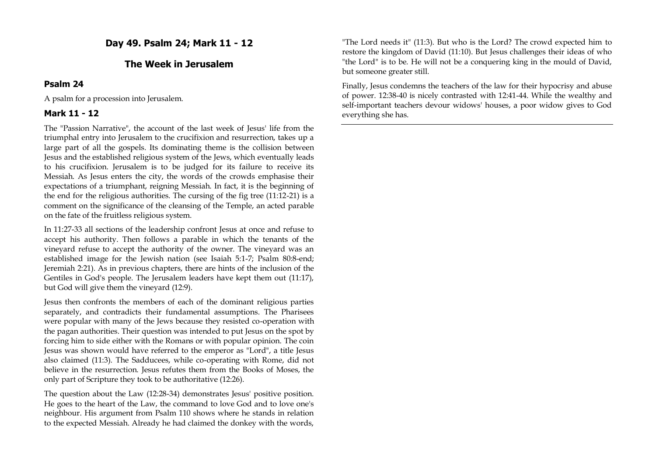## **Day 49. Psalm 24; Mark 11 - 12**

#### **The Week in Jerusalem**

#### **Psalm 24**

A psalm for a procession into Jerusalem.

#### **Mark 11 - 12**

The "Passion Narrative", the account of the last week of Jesus' life from the triumphal entry into Jerusalem to the crucifixion and resurrection, takes up a large part of all the gospels. Its dominating theme is the collision between Jesus and the established religious system of the Jews, which eventually leads to his crucifixion. Jerusalem is to be judged for its failure to receive its Messiah. As Jesus enters the city, the words of the crowds emphasise their expectations of a triumphant, reigning Messiah. In fact, it is the beginning of the end for the religious authorities. The cursing of the fig tree (11:12-21) is a comment on the significance of the cleansing of the Temple, an acted parable on the fate of the fruitless religious system.

In 11:27-33 all sections of the leadership confront Jesus at once and refuse to accept his authority. Then follows a parable in which the tenants of the vineyard refuse to accept the authority of the owner. The vineyard was an established image for the Jewish nation (see Isaiah 5:1-7; Psalm 80:8-end; Jeremiah 2:21). As in previous chapters, there are hints of the inclusion of the Gentiles in God's people. The Jerusalem leaders have kept them out (11:17), but God will give them the vineyard (12:9).

Jesus then confronts the members of each of the dominant religious parties separately, and contradicts their fundamental assumptions. The Pharisees were popular with many of the Jews because they resisted co-operation with the pagan authorities. Their question was intended to put Jesus on the spot by forcing him to side either with the Romans or with popular opinion. The coin Jesus was shown would have referred to the emperor as "Lord", a title Jesus also claimed (11:3). The Sadducees, while co-operating with Rome, did not believe in the resurrection. Jesus refutes them from the Books of Moses, the only part of Scripture they took to be authoritative (12:26).

The question about the Law (12:28-34) demonstrates Jesus' positive position. He goes to the heart of the Law, the command to love God and to love one's neighbour. His argument from Psalm 110 shows where he stands in relation to the expected Messiah. Already he had claimed the donkey with the words,

"The Lord needs it" (11:3). But who is the Lord? The crowd expected him to restore the kingdom of David (11:10). But Jesus challenges their ideas of who "the Lord" is to be. He will not be a conquering king in the mould of David, but someone greater still.

Finally, Jesus condemns the teachers of the law for their hypocrisy and abuse of power. 12:38-40 is nicely contrasted with 12:41-44. While the wealthy and self-important teachers devour widows' houses, a poor widow gives to God everything she has.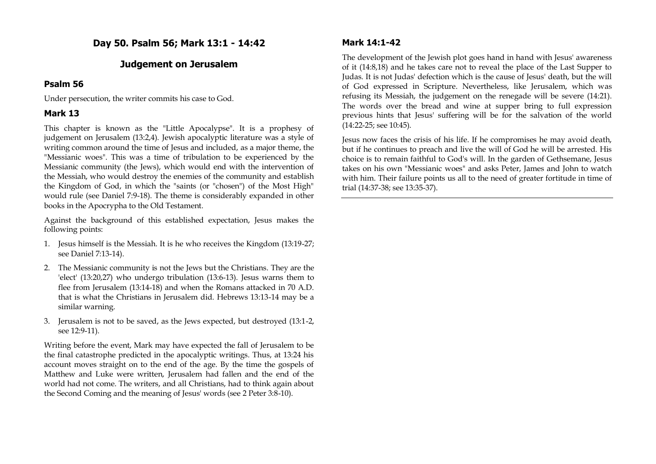## **Day 50. Psalm 56; Mark 13:1 - 14:42**

#### **Judgement on Jerusalem**

#### **Psalm 56**

Under persecution, the writer commits his case to God.

# **Mark 13**

This chapter is known as the "Little Apocalypse". It is a prophesy of judgement on Jerusalem (13:2,4). Jewish apocalyptic literature was a style of writing common around the time of Jesus and included, as a major theme, the "Messianic woes". This was a time of tribulation to be experienced by the Messianic community (the Jews), which would end with the intervention of the Messiah, who would destroy the enemies of the community and establish the Kingdom of God, in which the "saints (or "chosen") of the Most High" would rule (see Daniel 7:9-18). The theme is considerably expanded in other books in the Apocrypha to the Old Testament.

Against the background of this established expectation, Jesus makes the following points:

- 1. Jesus himself is the Messiah. It is he who receives the Kingdom (13:19-27; see Daniel 7:13-14).
- 2. The Messianic community is not the Jews but the Christians. They are the 'elect' (13:20,27) who undergo tribulation (13:6-13). Jesus warns them to flee from Jerusalem (13:14-18) and when the Romans attacked in 70 A.D. that is what the Christians in Jerusalem did. Hebrews 13:13-14 may be a similar warning.
- 3. Jerusalem is not to be saved, as the Jews expected, but destroyed (13:1-2, see 12:9-11).

Writing before the event, Mark may have expected the fall of Jerusalem to be the final catastrophe predicted in the apocalyptic writings. Thus, at 13:24 his account moves straight on to the end of the age. By the time the gospels of Matthew and Luke were written, Jerusalem had fallen and the end of the world had not come. The writers, and all Christians, had to think again about the Second Coming and the meaning of Jesus' words (see 2 Peter 3:8-10).

## **Mark 14:1-42**

The development of the Jewish plot goes hand in hand with Jesus' awareness of it (14:8,18) and he takes care not to reveal the place of the Last Supper to Judas. It is not Judas' defection which is the cause of Jesus' death, but the will of God expressed in Scripture. Nevertheless, like Jerusalem, which was refusing its Messiah, the judgement on the renegade will be severe (14:21). The words over the bread and wine at supper bring to full expression previous hints that Jesus' suffering will be for the salvation of the world (14:22-25; see 10:45).

Jesus now faces the crisis of his life. If he compromises he may avoid death, but if he continues to preach and live the will of God he will be arrested. His choice is to remain faithful to God's will. In the garden of Gethsemane, Jesus takes on his own "Messianic woes" and asks Peter, James and John to watch with him. Their failure points us all to the need of greater fortitude in time of trial (14:37-38; see 13:35-37).